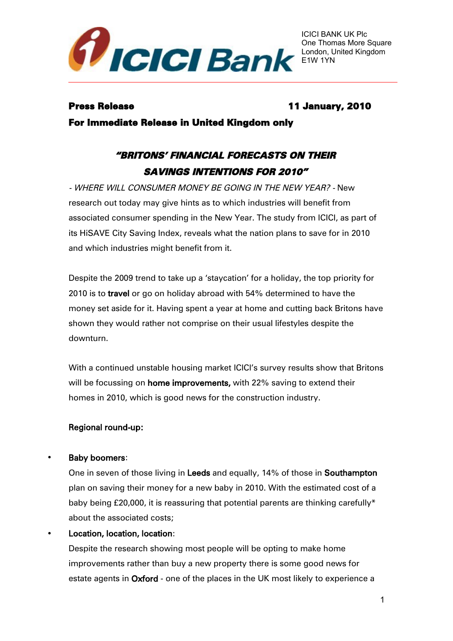

# Press Release 11 January, 2010

For Immediate Release in United Kingdom only

# "BRITONS' FINANCIAL FORECASTS ON THEIR SAVINGS INTENTIONS FOR 2010"

- WHERE WILL CONSUMER MONEY BE GOING IN THE NEW YEAR? - New research out today may give hints as to which industries will benefit from associated consumer spending in the New Year. The study from ICICI, as part of its HiSAVE City Saving Index, reveals what the nation plans to save for in 2010 and which industries might benefit from it.

Despite the 2009 trend to take up a 'staycation' for a holiday, the top priority for 2010 is to travel or go on holiday abroad with 54% determined to have the money set aside for it. Having spent a year at home and cutting back Britons have shown they would rather not comprise on their usual lifestyles despite the downturn.

With a continued unstable housing market ICICI's survey results show that Britons will be focussing on **home improvements**, with 22% saving to extend their homes in 2010, which is good news for the construction industry.

# Regional round-up:

# Baby boomers:

One in seven of those living in Leeds and equally, 14% of those in Southampton plan on saving their money for a new baby in 2010. With the estimated cost of a baby being £20,000, it is reassuring that potential parents are thinking carefully\* about the associated costs;

### Location, location, location:

Despite the research showing most people will be opting to make home improvements rather than buy a new property there is some good news for estate agents in Oxford - one of the places in the UK most likely to experience a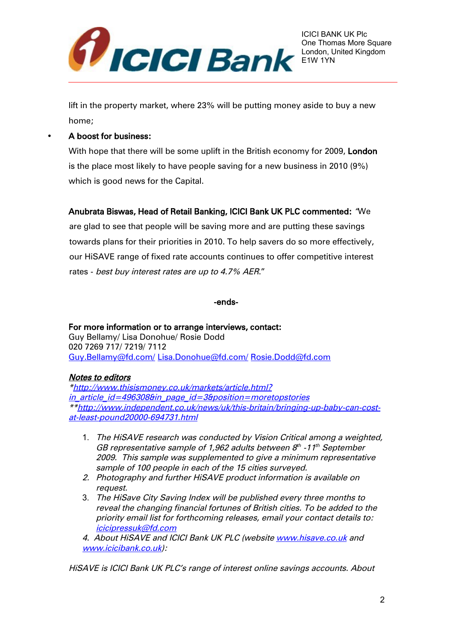

lift in the property market, where 23% will be putting money aside to buy a new home;

#### • A boost for business:

With hope that there will be some uplift in the British economy for 2009, London is the place most likely to have people saving for a new business in 2010 (9%) which is good news for the Capital.

### Anubrata Biswas, Head of Retail Banking, ICICI Bank UK PLC commented: "We

are glad to see that people will be saving more and are putting these savings towards plans for their priorities in 2010. To help savers do so more effectively, our HiSAVE range of fixed rate accounts continues to offer competitive interest rates - best buy interest rates are up to 4.7% AER."

-ends-

#### For more information or to arrange interviews, contact: Guy Bellamy/ Lisa Donohue/ Rosie Dodd 020 7269 717/ 7219/ 7112 [Guy.Bellamy@fd.com/](mailto:Guy.Bellamy@fd.com/) [Lisa.Donohue@fd.com/](mailto:Lisa.Donohue@fd.com/) [Rosie.Dodd@fd.com](mailto:Rosie.Dodd@fd.com)

### Notes to editors

[\\*http://www.thisismoney.co.uk/markets/article.html?](http://www.thisismoney.co.uk/markets/article.html?in_article_id=496308&in_page_id=3&position=moretopstories) in article id=496308&in page id=3&position=moretopstories \*[\\*http://www.independent.co.uk/news/uk/this-britain/bringing-up-baby-can-cost](http://www.independent.co.uk/news/uk/this-britain/bringing-up-baby-can-cost-at-least-pound20000-694731.html)[at-least-pound20000-694731.html](http://www.independent.co.uk/news/uk/this-britain/bringing-up-baby-can-cost-at-least-pound20000-694731.html)

- 1. The HiSAVE research was conducted by Vision Critical among a weighted, GB representative sample of 1,962 adults between  $8<sup>th</sup>$  -11<sup>th</sup> September 2009. This sample was supplemented to give a minimum representative sample of 100 people in each of the 15 cities surveyed.
- 2. Photography and further HiSAVE product information is available on request.
- 3. The HiSave City Saving Index will be published every three months to reveal the changing financial fortunes of British cities. To be added to the priority email list for forthcoming releases, email your contact details to: [icicipressuk@fd.com](mailto:icicipressuk@fd.com)
- 4. About HiSAVE and ICICI Bank UK PLC (website [www.hisave.co.uk](http://www.hisave.co.uk/) and [www.icicibank.co.uk\)](http://www.icicibank.co.uk/):

HiSAVE is ICICI Bank UK PLC's range of interest online savings accounts. About